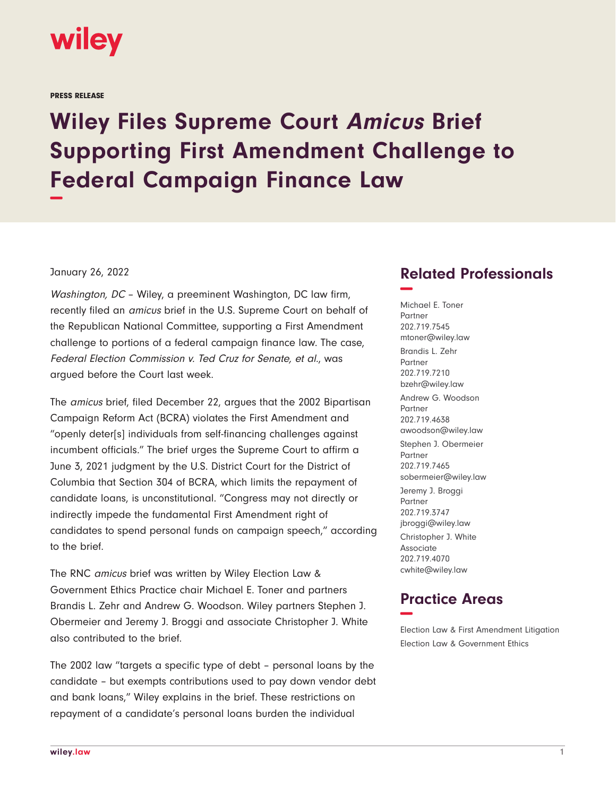

PRESS RELEASE

## **Wiley Files Supreme Court Amicus Brief Supporting First Amendment Challenge to Federal Campaign Finance Law −**

## January 26, 2022

Washington, DC – Wiley, a preeminent Washington, DC law firm, recently filed an amicus brief in the U.S. Supreme Court on behalf of the Republican National Committee, supporting a First Amendment challenge to portions of a federal campaign finance law. The case, Federal Election Commission v. Ted Cruz for Senate, et al., was argued before the Court last week.

The amicus brief, filed December 22, argues that the 2002 Bipartisan Campaign Reform Act (BCRA) violates the First Amendment and "openly deter[s] individuals from self-financing challenges against incumbent officials." The brief urges the Supreme Court to affirm a June 3, 2021 judgment by the U.S. District Court for the District of Columbia that Section 304 of BCRA, which limits the repayment of candidate loans, is unconstitutional. "Congress may not directly or indirectly impede the fundamental First Amendment right of candidates to spend personal funds on campaign speech," according to the brief.

The RNC amicus brief was written by Wiley Election Law & Government Ethics Practice chair Michael E. Toner and partners Brandis L. Zehr and Andrew G. Woodson. Wiley partners Stephen J. Obermeier and Jeremy J. Broggi and associate Christopher J. White also contributed to the brief.

The 2002 law "targets a specific type of debt – personal loans by the candidate – but exempts contributions used to pay down vendor debt and bank loans," Wiley explains in the brief. These restrictions on repayment of a candidate's personal loans burden the individual

## **Related Professionals −**

Michael E. Toner Partner 202.719.7545 mtoner@wiley.law Brandis L. Zehr Partner 202.719.7210 bzehr@wiley.law Andrew G. Woodson Partner 202.719.4638 awoodson@wiley.law Stephen J. Obermeier Partner 202.719.7465 sobermeier@wiley.law Jeremy J. Broggi Partner 202.719.3747 jbroggi@wiley.law Christopher J. White Associate 202.719.4070 cwhite@wiley.law

## **Practice Areas −**

Election Law & First Amendment Litigation Election Law & Government Ethics